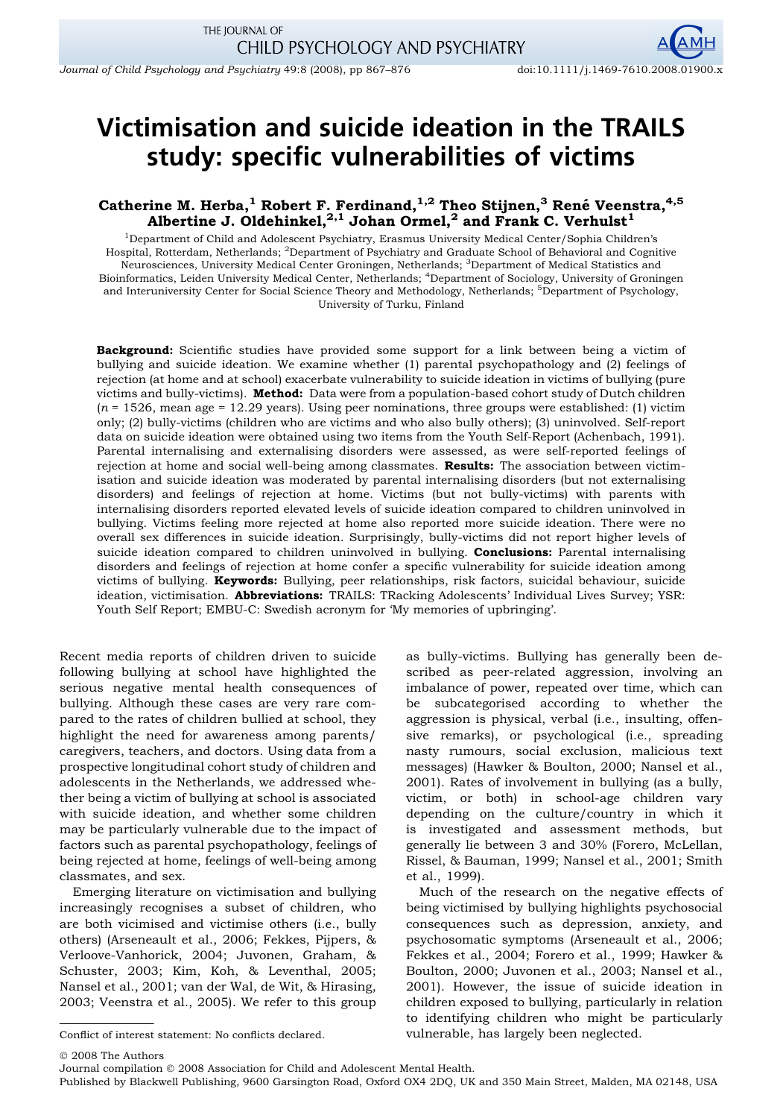Journal of Child Psychology and Psychiatry 49:8 (2008), pp 867–876 doi:10.1111/j.1469-7610.2008.01900.x

# Victimisation and suicide ideation in the TRAILS study: specific vulnerabilities of victims

# Catherine M. Herba,  $^1$  Robert F. Ferdinand,  $^{1,2}$  Theo Stijnen,  $^3$  René Veenstra,  $^{4,5}$ Albertine J. Oldehinkel, $^{2,1}$  Johan Ormel, $^2$  and Frank C. Verhulst $^1$

1 Department of Child and Adolescent Psychiatry, Erasmus University Medical Center/Sophia Children's Hospital, Rotterdam, Netherlands; <sup>2</sup>Department of Psychiatry and Graduate School of Behavioral and Cognitive Neurosciences, University Medical Center Groningen, Netherlands; <sup>3</sup>Department of Medical Statistics and Bioinformatics, Leiden University Medical Center, Netherlands; <sup>4</sup> Department of Sociology, University of Groningen and Interuniversity Center for Social Science Theory and Methodology, Netherlands; <sup>5</sup>Department of Psychology, University of Turku, Finland

**Background:** Scientific studies have provided some support for a link between being a victim of bullying and suicide ideation. We examine whether (1) parental psychopathology and (2) feelings of rejection (at home and at school) exacerbate vulnerability to suicide ideation in victims of bullying (pure victims and bully-victims). **Method:** Data were from a population-based cohort study of Dutch children  $(n = 1526, \text{ mean age} = 12.29 \text{ years})$ . Using peer nominations, three groups were established: (1) victim only; (2) bully-victims (children who are victims and who also bully others); (3) uninvolved. Self-report data on suicide ideation were obtained using two items from the Youth Self-Report (Achenbach, 1991). Parental internalising and externalising disorders were assessed, as were self-reported feelings of rejection at home and social well-being among classmates. Results: The association between victimisation and suicide ideation was moderated by parental internalising disorders (but not externalising disorders) and feelings of rejection at home. Victims (but not bully-victims) with parents with internalising disorders reported elevated levels of suicide ideation compared to children uninvolved in bullying. Victims feeling more rejected at home also reported more suicide ideation. There were no overall sex differences in suicide ideation. Surprisingly, bully-victims did not report higher levels of suicide ideation compared to children uninvolved in bullying. **Conclusions:** Parental internalising disorders and feelings of rejection at home confer a specific vulnerability for suicide ideation among victims of bullying. Keywords: Bullying, peer relationships, risk factors, suicidal behaviour, suicide ideation, victimisation. **Abbreviations:** TRAILS: TRacking Adolescents' Individual Lives Survey; YSR: Youth Self Report; EMBU-C: Swedish acronym for 'My memories of upbringing'.

Recent media reports of children driven to suicide following bullying at school have highlighted the serious negative mental health consequences of bullying. Although these cases are very rare compared to the rates of children bullied at school, they highlight the need for awareness among parents/ caregivers, teachers, and doctors. Using data from a prospective longitudinal cohort study of children and adolescents in the Netherlands, we addressed whether being a victim of bullying at school is associated with suicide ideation, and whether some children may be particularly vulnerable due to the impact of factors such as parental psychopathology, feelings of being rejected at home, feelings of well-being among classmates, and sex.

Emerging literature on victimisation and bullying increasingly recognises a subset of children, who are both vicimised and victimise others (i.e., bully others) (Arseneault et al., 2006; Fekkes, Pijpers, & Verloove-Vanhorick, 2004; Juvonen, Graham, & Schuster, 2003; Kim, Koh, & Leventhal, 2005; Nansel et al., 2001; van der Wal, de Wit, & Hirasing, 2003; Veenstra et al., 2005). We refer to this group as bully-victims. Bullying has generally been described as peer-related aggression, involving an imbalance of power, repeated over time, which can be subcategorised according to whether the aggression is physical, verbal (i.e., insulting, offensive remarks), or psychological (i.e., spreading nasty rumours, social exclusion, malicious text messages) (Hawker & Boulton, 2000; Nansel et al., 2001). Rates of involvement in bullying (as a bully, victim, or both) in school-age children vary depending on the culture/country in which it is investigated and assessment methods, but generally lie between 3 and 30% (Forero, McLellan, Rissel, & Bauman, 1999; Nansel et al., 2001; Smith et al., 1999).

Much of the research on the negative effects of being victimised by bullying highlights psychosocial consequences such as depression, anxiety, and psychosomatic symptoms (Arseneault et al., 2006; Fekkes et al., 2004; Forero et al., 1999; Hawker & Boulton, 2000; Juvonen et al., 2003; Nansel et al., 2001). However, the issue of suicide ideation in children exposed to bullying, particularly in relation to identifying children who might be particularly Conflict of interest statement: No conflicts declared. vulnerable, has largely been neglected.

<sup>© 2008</sup> The Authors

Journal compilation © 2008 Association for Child and Adolescent Mental Health.

Published by Blackwell Publishing, 9600 Garsington Road, Oxford OX4 2DQ, UK and 350 Main Street, Malden, MA 02148, USA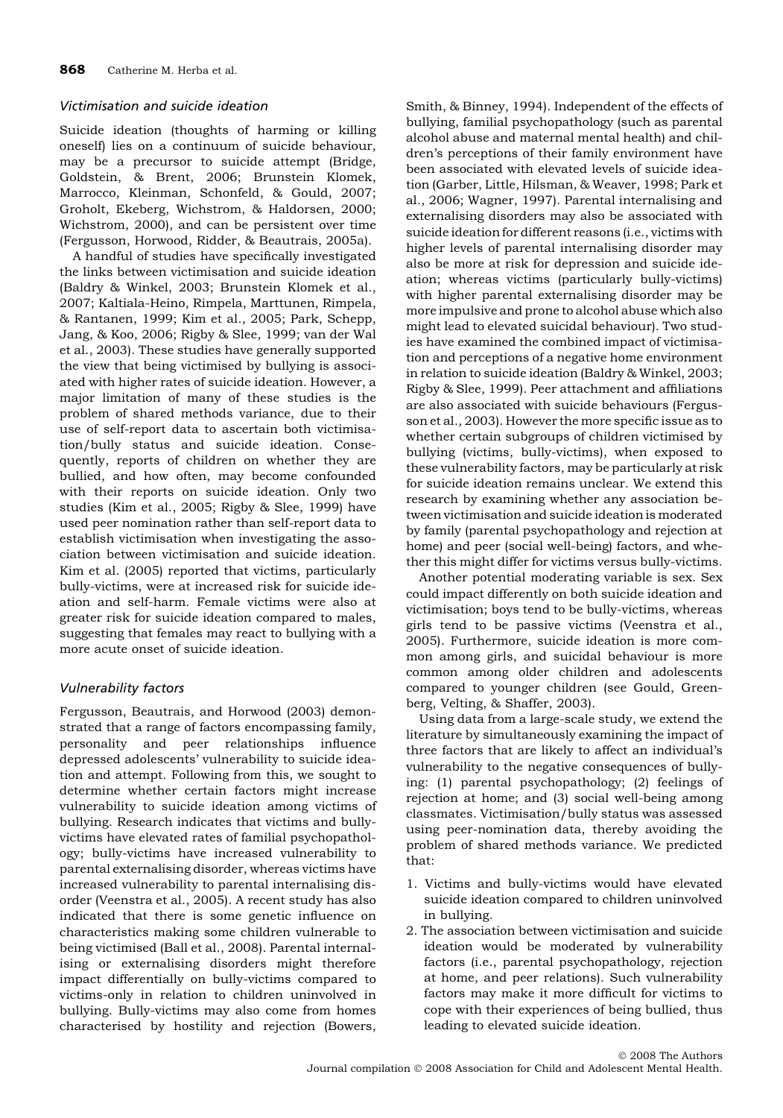## Victimisation and suicide ideation

Suicide ideation (thoughts of harming or killing oneself) lies on a continuum of suicide behaviour, may be a precursor to suicide attempt (Bridge, Goldstein, & Brent, 2006; Brunstein Klomek, Marrocco, Kleinman, Schonfeld, & Gould, 2007; Groholt, Ekeberg, Wichstrom, & Haldorsen, 2000; Wichstrom, 2000), and can be persistent over time (Fergusson, Horwood, Ridder, & Beautrais, 2005a).

A handful of studies have specifically investigated the links between victimisation and suicide ideation (Baldry & Winkel, 2003; Brunstein Klomek et al., 2007; Kaltiala-Heino, Rimpela, Marttunen, Rimpela, & Rantanen, 1999; Kim et al., 2005; Park, Schepp, Jang, & Koo, 2006; Rigby & Slee, 1999; van der Wal et al., 2003). These studies have generally supported the view that being victimised by bullying is associated with higher rates of suicide ideation. However, a major limitation of many of these studies is the problem of shared methods variance, due to their use of self-report data to ascertain both victimisation/bully status and suicide ideation. Consequently, reports of children on whether they are bullied, and how often, may become confounded with their reports on suicide ideation. Only two studies (Kim et al., 2005; Rigby & Slee, 1999) have used peer nomination rather than self-report data to establish victimisation when investigating the association between victimisation and suicide ideation. Kim et al. (2005) reported that victims, particularly bully-victims, were at increased risk for suicide ideation and self-harm. Female victims were also at greater risk for suicide ideation compared to males, suggesting that females may react to bullying with a more acute onset of suicide ideation.

## Vulnerability factors

Fergusson, Beautrais, and Horwood (2003) demonstrated that a range of factors encompassing family, personality and peer relationships influence depressed adolescents' vulnerability to suicide ideation and attempt. Following from this, we sought to determine whether certain factors might increase vulnerability to suicide ideation among victims of bullying. Research indicates that victims and bullyvictims have elevated rates of familial psychopathology; bully-victims have increased vulnerability to parental externalising disorder, whereas victims have increased vulnerability to parental internalising disorder (Veenstra et al., 2005). A recent study has also indicated that there is some genetic influence on characteristics making some children vulnerable to being victimised (Ball et al., 2008). Parental internalising or externalising disorders might therefore impact differentially on bully-victims compared to victims-only in relation to children uninvolved in bullying. Bully-victims may also come from homes characterised by hostility and rejection (Bowers,

Smith, & Binney, 1994). Independent of the effects of bullying, familial psychopathology (such as parental alcohol abuse and maternal mental health) and children's perceptions of their family environment have been associated with elevated levels of suicide ideation (Garber, Little, Hilsman, & Weaver, 1998; Park et al., 2006; Wagner, 1997). Parental internalising and externalising disorders may also be associated with suicide ideation for different reasons (i.e., victims with higher levels of parental internalising disorder may also be more at risk for depression and suicide ideation; whereas victims (particularly bully-victims) with higher parental externalising disorder may be more impulsive and prone to alcohol abuse which also might lead to elevated suicidal behaviour). Two studies have examined the combined impact of victimisation and perceptions of a negative home environment in relation to suicide ideation (Baldry & Winkel, 2003; Rigby & Slee, 1999). Peer attachment and affiliations are also associated with suicide behaviours (Fergusson et al., 2003). However the more specific issue as to whether certain subgroups of children victimised by bullying (victims, bully-victims), when exposed to these vulnerability factors, may be particularly at risk for suicide ideation remains unclear. We extend this research by examining whether any association between victimisation and suicide ideation is moderated by family (parental psychopathology and rejection at home) and peer (social well-being) factors, and whether this might differ for victims versus bully-victims.

Another potential moderating variable is sex. Sex could impact differently on both suicide ideation and victimisation; boys tend to be bully-victims, whereas girls tend to be passive victims (Veenstra et al., 2005). Furthermore, suicide ideation is more common among girls, and suicidal behaviour is more common among older children and adolescents compared to younger children (see Gould, Greenberg, Velting, & Shaffer, 2003).

Using data from a large-scale study, we extend the literature by simultaneously examining the impact of three factors that are likely to affect an individual's vulnerability to the negative consequences of bullying: (1) parental psychopathology; (2) feelings of rejection at home; and (3) social well-being among classmates. Victimisation/bully status was assessed using peer-nomination data, thereby avoiding the problem of shared methods variance. We predicted that:

- 1. Victims and bully-victims would have elevated suicide ideation compared to children uninvolved in bullying.
- 2. The association between victimisation and suicide ideation would be moderated by vulnerability factors (i.e., parental psychopathology, rejection at home, and peer relations). Such vulnerability factors may make it more difficult for victims to cope with their experiences of being bullied, thus leading to elevated suicide ideation.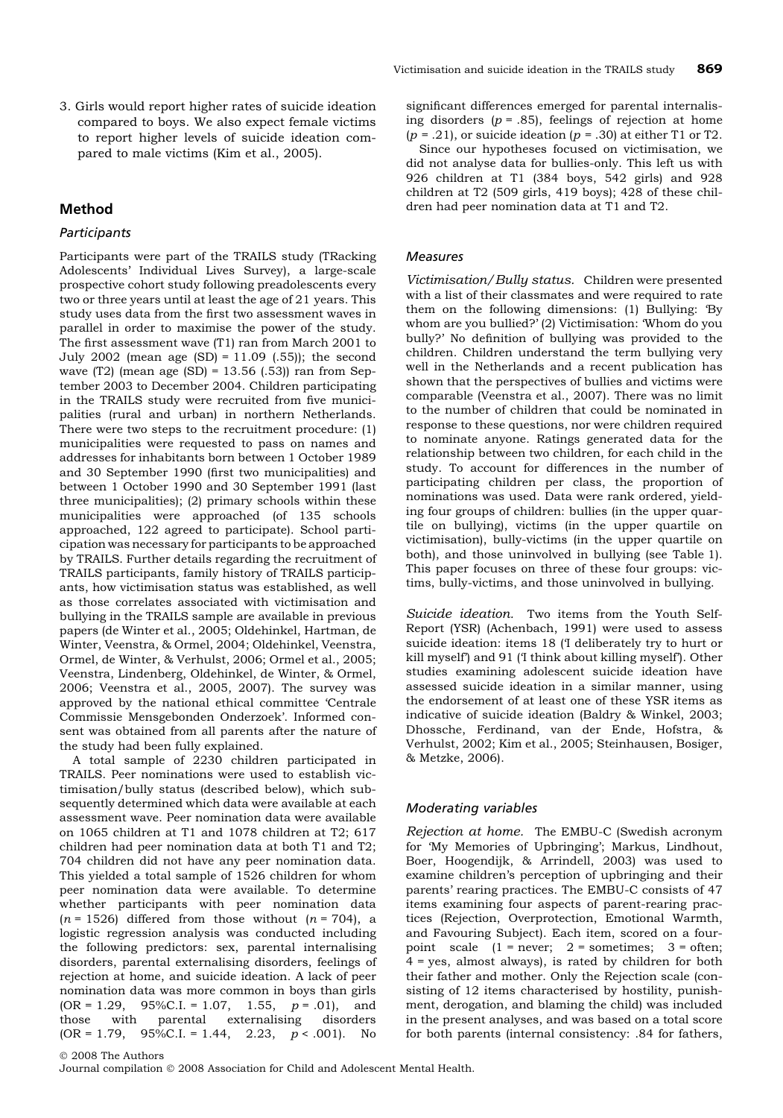3. Girls would report higher rates of suicide ideation compared to boys. We also expect female victims to report higher levels of suicide ideation compared to male victims (Kim et al., 2005).

## Method

#### **Participants**

Participants were part of the TRAILS study (TRacking Adolescents' Individual Lives Survey), a large-scale prospective cohort study following preadolescents every two or three years until at least the age of 21 years. This study uses data from the first two assessment waves in parallel in order to maximise the power of the study. The first assessment wave (T1) ran from March 2001 to July 2002 (mean age (SD) = 11.09 (.55)); the second wave (T2) (mean age (SD) =  $13.56$  (.53)) ran from September 2003 to December 2004. Children participating in the TRAILS study were recruited from five municipalities (rural and urban) in northern Netherlands. There were two steps to the recruitment procedure: (1) municipalities were requested to pass on names and addresses for inhabitants born between 1 October 1989 and 30 September 1990 (first two municipalities) and between 1 October 1990 and 30 September 1991 (last three municipalities); (2) primary schools within these municipalities were approached (of 135 schools approached, 122 agreed to participate). School participation was necessary for participants to be approached by TRAILS. Further details regarding the recruitment of TRAILS participants, family history of TRAILS participants, how victimisation status was established, as well as those correlates associated with victimisation and bullying in the TRAILS sample are available in previous papers (de Winter et al., 2005; Oldehinkel, Hartman, de Winter, Veenstra, & Ormel, 2004; Oldehinkel, Veenstra, Ormel, de Winter, & Verhulst, 2006; Ormel et al., 2005; Veenstra, Lindenberg, Oldehinkel, de Winter, & Ormel, 2006; Veenstra et al., 2005, 2007). The survey was approved by the national ethical committee 'Centrale Commissie Mensgebonden Onderzoek'. Informed consent was obtained from all parents after the nature of the study had been fully explained.

A total sample of 2230 children participated in TRAILS. Peer nominations were used to establish victimisation/bully status (described below), which subsequently determined which data were available at each assessment wave. Peer nomination data were available on 1065 children at T1 and 1078 children at T2; 617 children had peer nomination data at both T1 and T2; 704 children did not have any peer nomination data. This yielded a total sample of 1526 children for whom peer nomination data were available. To determine whether participants with peer nomination data  $(n = 1526)$  differed from those without  $(n = 704)$ , a logistic regression analysis was conducted including the following predictors: sex, parental internalising disorders, parental externalising disorders, feelings of rejection at home, and suicide ideation. A lack of peer nomination data was more common in boys than girls  $(OR = 1.29, 95\%C.I. = 1.07, 1.55, p = .01),$  and those with parental externalising disorders  $(OR = 1.79, 95\%C.I. = 1.44, 2.23, p < .001).$  No

significant differences emerged for parental internalising disorders ( $p = .85$ ), feelings of rejection at home  $(p = .21)$ , or suicide ideation  $(p = .30)$  at either T1 or T2. Since our hypotheses focused on victimisation, we did not analyse data for bullies-only. This left us with 926 children at T1 (384 boys, 542 girls) and 928 children at T2 (509 girls, 419 boys); 428 of these children had peer nomination data at T1 and T2.

#### **Measures**

Victimisation/Bully status. Children were presented with a list of their classmates and were required to rate them on the following dimensions: (1) Bullying: 'By whom are you bullied?' (2) Victimisation: 'Whom do you bully?' No definition of bullying was provided to the children. Children understand the term bullying very well in the Netherlands and a recent publication has shown that the perspectives of bullies and victims were comparable (Veenstra et al., 2007). There was no limit to the number of children that could be nominated in response to these questions, nor were children required to nominate anyone. Ratings generated data for the relationship between two children, for each child in the study. To account for differences in the number of participating children per class, the proportion of nominations was used. Data were rank ordered, yielding four groups of children: bullies (in the upper quartile on bullying), victims (in the upper quartile on victimisation), bully-victims (in the upper quartile on both), and those uninvolved in bullying (see Table 1). This paper focuses on three of these four groups: victims, bully-victims, and those uninvolved in bullying.

Suicide ideation. Two items from the Youth Self-Report (YSR) (Achenbach, 1991) were used to assess suicide ideation: items 18 ('I deliberately try to hurt or kill myself') and 91 ('I think about killing myself'). Other studies examining adolescent suicide ideation have assessed suicide ideation in a similar manner, using the endorsement of at least one of these YSR items as indicative of suicide ideation (Baldry & Winkel, 2003; Dhossche, Ferdinand, van der Ende, Hofstra, & Verhulst, 2002; Kim et al., 2005; Steinhausen, Bosiger, & Metzke, 2006).

#### Moderating variables

Rejection at home. The EMBU-C (Swedish acronym for 'My Memories of Upbringing'; Markus, Lindhout, Boer, Hoogendijk, & Arrindell, 2003) was used to examine children's perception of upbringing and their parents' rearing practices. The EMBU-C consists of 47 items examining four aspects of parent-rearing practices (Rejection, Overprotection, Emotional Warmth, and Favouring Subject). Each item, scored on a fourpoint scale  $(1 = never; 2 = sometimes; 3 = often;$ 4 = yes, almost always), is rated by children for both their father and mother. Only the Rejection scale (consisting of 12 items characterised by hostility, punishment, derogation, and blaming the child) was included in the present analyses, and was based on a total score for both parents (internal consistency: .84 for fathers,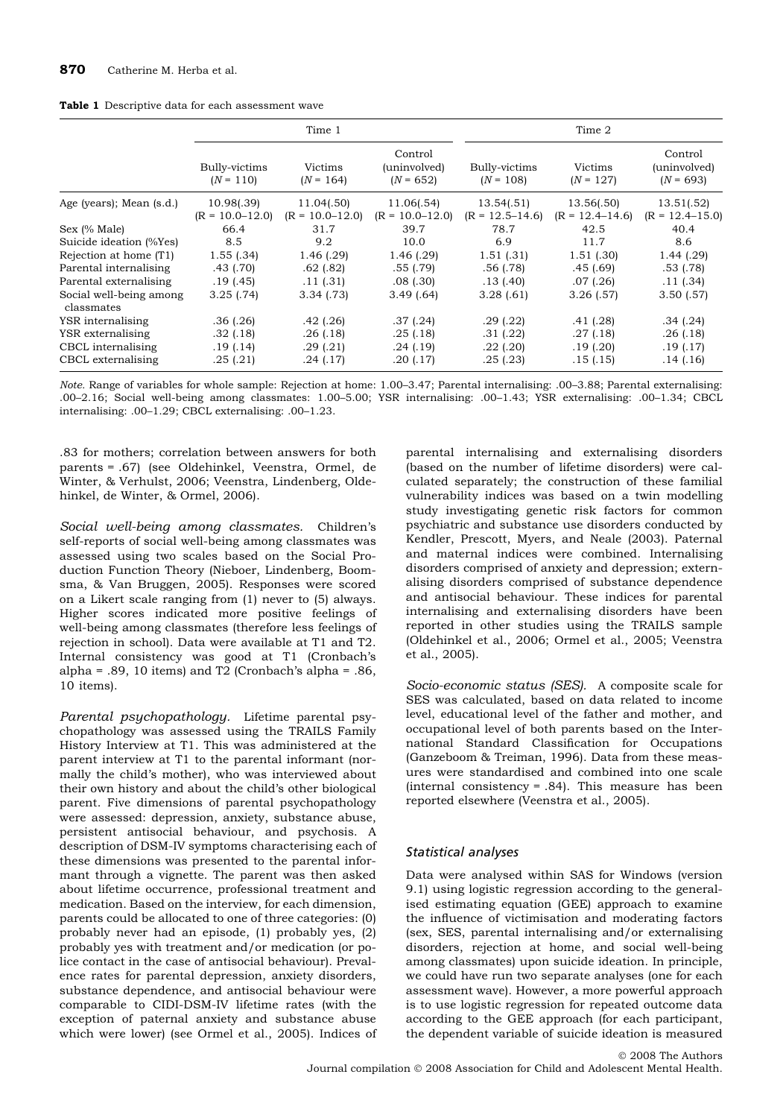|  |  |  | Table 1 Descriptive data for each assessment wave |
|--|--|--|---------------------------------------------------|
|--|--|--|---------------------------------------------------|

|                                       | Time 1                       |                        | Time 2                                 |                              |                        |                                        |
|---------------------------------------|------------------------------|------------------------|----------------------------------------|------------------------------|------------------------|----------------------------------------|
|                                       | Bully-victims<br>$(N = 110)$ | Victims<br>$(N = 164)$ | Control<br>(uninvolved)<br>$(N = 652)$ | Bully-victims<br>$(N = 108)$ | Victims<br>$(N = 127)$ | Control<br>(uninvolved)<br>$(N = 693)$ |
| Age (years); Mean (s.d.)              | 10.98(.39)                   | 11.04(.50)             | 11.06(.54)                             | 13.54(.51)                   | 13.56(.50)             | 13.51(.52)                             |
|                                       | $(R = 10.0 - 12.0)$          | $(R = 10.0 - 12.0)$    | $(R = 10.0 - 12.0)$                    | $(R = 12.5 - 14.6)$          | $(R = 12.4 - 14.6)$    | $(R = 12.4 - 15.0)$                    |
| Sex (% Male)                          | 66.4                         | 31.7                   | 39.7                                   | 78.7                         | 42.5                   | 40.4                                   |
| Suicide ideation (%Yes)               | 8.5                          | 9.2                    | 10.0                                   | 6.9                          | 11.7                   | 8.6                                    |
| Rejection at home (T1)                | 1.55(0.34)                   | 1.46(0.29)             | 1.46(.29)                              | 1.51(.31)                    | 1.51(0.30)             | 1.44(0.29)                             |
| Parental internalising                | $.43$ $(.70)$                | .62(.82)               | .55(.79)                               | .56(.78)                     | .45(.69)               | .53(.78)                               |
| Parental externalising                | .19(0.45)                    | .11(0.31)              | $.08$ $(.30)$                          | .13(.40)                     | .07(0.26)              | .11(0.34)                              |
| Social well-being among<br>classmates | 3.25(.74)                    | $3.34$ $(.73)$         | 3.49(64)                               | 3.28(61)                     | 3.26(0.57)             | 3.50(0.57)                             |
| YSR internalising                     | .36(.26)                     | .42(.26)               | .37(.24)                               | .29(.22)                     | .41( .28)              | .34(.24)                               |
| YSR externalising                     | .32(.18)                     | .26(.18)               | .25(.18)                               | .31(.22)                     | .27(.18)               | .26(.18)                               |
| CBCL internalising                    | .19(0.14)                    | .29(0.21)              | .24(.19)                               | .22(.20)                     | .19(.20)               | .19(.17)                               |
| CBCL externalising                    | .25(0.21)                    | .24(.17)               | .20(.17)                               | .25(.23)                     | .15(.15)               | .14(.16)                               |

Note. Range of variables for whole sample: Rejection at home: 1.00–3.47; Parental internalising: .00–3.88; Parental externalising: .00–2.16; Social well-being among classmates: 1.00–5.00; YSR internalising: .00–1.43; YSR externalising: .00–1.34; CBCL internalising: .00–1.29; CBCL externalising: .00–1.23.

.83 for mothers; correlation between answers for both parents = .67) (see Oldehinkel, Veenstra, Ormel, de Winter, & Verhulst, 2006; Veenstra, Lindenberg, Oldehinkel, de Winter, & Ormel, 2006).

Social well-being among classmates. Children's self-reports of social well-being among classmates was assessed using two scales based on the Social Production Function Theory (Nieboer, Lindenberg, Boomsma, & Van Bruggen, 2005). Responses were scored on a Likert scale ranging from (1) never to (5) always. Higher scores indicated more positive feelings of well-being among classmates (therefore less feelings of rejection in school). Data were available at T1 and T2. Internal consistency was good at T1 (Cronbach's alpha =  $.89$ , 10 items) and T2 (Cronbach's alpha =  $.86$ , 10 items).

Parental psychopathology. Lifetime parental psychopathology was assessed using the TRAILS Family History Interview at T1. This was administered at the parent interview at T1 to the parental informant (normally the child's mother), who was interviewed about their own history and about the child's other biological parent. Five dimensions of parental psychopathology were assessed: depression, anxiety, substance abuse, persistent antisocial behaviour, and psychosis. A description of DSM-IV symptoms characterising each of these dimensions was presented to the parental informant through a vignette. The parent was then asked about lifetime occurrence, professional treatment and medication. Based on the interview, for each dimension, parents could be allocated to one of three categories: (0) probably never had an episode, (1) probably yes, (2) probably yes with treatment and/or medication (or police contact in the case of antisocial behaviour). Prevalence rates for parental depression, anxiety disorders, substance dependence, and antisocial behaviour were comparable to CIDI-DSM-IV lifetime rates (with the exception of paternal anxiety and substance abuse which were lower) (see Ormel et al., 2005). Indices of parental internalising and externalising disorders (based on the number of lifetime disorders) were calculated separately; the construction of these familial vulnerability indices was based on a twin modelling study investigating genetic risk factors for common psychiatric and substance use disorders conducted by Kendler, Prescott, Myers, and Neale (2003). Paternal and maternal indices were combined. Internalising disorders comprised of anxiety and depression; externalising disorders comprised of substance dependence and antisocial behaviour. These indices for parental internalising and externalising disorders have been reported in other studies using the TRAILS sample (Oldehinkel et al., 2006; Ormel et al., 2005; Veenstra et al., 2005).

Socio-economic status (SES). A composite scale for SES was calculated, based on data related to income level, educational level of the father and mother, and occupational level of both parents based on the International Standard Classification for Occupations (Ganzeboom & Treiman, 1996). Data from these measures were standardised and combined into one scale (internal consistency =  $.84$ ). This measure has been reported elsewhere (Veenstra et al., 2005).

#### Statistical analyses

Data were analysed within SAS for Windows (version 9.1) using logistic regression according to the generalised estimating equation (GEE) approach to examine the influence of victimisation and moderating factors (sex, SES, parental internalising and/or externalising disorders, rejection at home, and social well-being among classmates) upon suicide ideation. In principle, we could have run two separate analyses (one for each assessment wave). However, a more powerful approach is to use logistic regression for repeated outcome data according to the GEE approach (for each participant, the dependent variable of suicide ideation is measured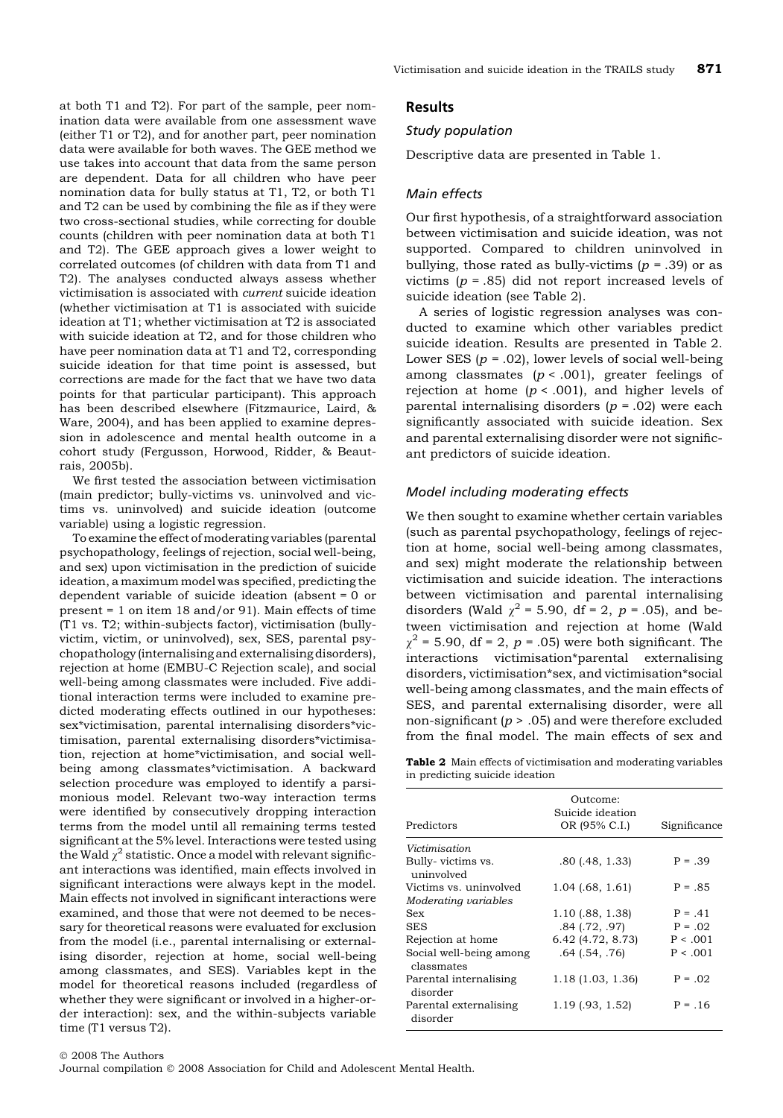at both T1 and T2). For part of the sample, peer nomination data were available from one assessment wave (either T1 or T2), and for another part, peer nomination data were available for both waves. The GEE method we use takes into account that data from the same person are dependent. Data for all children who have peer nomination data for bully status at T1, T2, or both T1 and T2 can be used by combining the file as if they were two cross-sectional studies, while correcting for double counts (children with peer nomination data at both T1 and T2). The GEE approach gives a lower weight to correlated outcomes (of children with data from T1 and T2). The analyses conducted always assess whether victimisation is associated with current suicide ideation (whether victimisation at T1 is associated with suicide ideation at T1; whether victimisation at T2 is associated with suicide ideation at T2, and for those children who have peer nomination data at T1 and T2, corresponding suicide ideation for that time point is assessed, but corrections are made for the fact that we have two data points for that particular participant). This approach has been described elsewhere (Fitzmaurice, Laird, & Ware, 2004), and has been applied to examine depression in adolescence and mental health outcome in a cohort study (Fergusson, Horwood, Ridder, & Beautrais, 2005b).

We first tested the association between victimisation (main predictor; bully-victims vs. uninvolved and victims vs. uninvolved) and suicide ideation (outcome variable) using a logistic regression.

To examine the effect of moderating variables (parental psychopathology, feelings of rejection, social well-being, and sex) upon victimisation in the prediction of suicide ideation, a maximum model was specified, predicting the dependent variable of suicide ideation (absent = 0 or present = 1 on item 18 and/or 91). Main effects of time (T1 vs. T2; within-subjects factor), victimisation (bullyvictim, victim, or uninvolved), sex, SES, parental psychopathology (internalising and externalising disorders), rejection at home (EMBU-C Rejection scale), and social well-being among classmates were included. Five additional interaction terms were included to examine predicted moderating effects outlined in our hypotheses: sex\*victimisation, parental internalising disorders\*victimisation, parental externalising disorders\*victimisation, rejection at home\*victimisation, and social wellbeing among classmates\*victimisation. A backward selection procedure was employed to identify a parsimonious model. Relevant two-way interaction terms were identified by consecutively dropping interaction terms from the model until all remaining terms tested significant at the 5% level. Interactions were tested using the Wald  $\chi^2$  statistic. Once a model with relevant significant interactions was identified, main effects involved in significant interactions were always kept in the model. Main effects not involved in significant interactions were examined, and those that were not deemed to be necessary for theoretical reasons were evaluated for exclusion from the model (i.e., parental internalising or externalising disorder, rejection at home, social well-being among classmates, and SES). Variables kept in the model for theoretical reasons included (regardless of whether they were significant or involved in a higher-order interaction): sex, and the within-subjects variable time (T1 versus T2).

#### Results

#### Study population

Descriptive data are presented in Table 1.

### Main effects

Our first hypothesis, of a straightforward association between victimisation and suicide ideation, was not supported. Compared to children uninvolved in bullying, those rated as bully-victims ( $p = .39$ ) or as victims ( $p = .85$ ) did not report increased levels of suicide ideation (see Table 2).

A series of logistic regression analyses was conducted to examine which other variables predict suicide ideation. Results are presented in Table 2. Lower SES  $(p = .02)$ , lower levels of social well-being among classmates  $(p < .001)$ , greater feelings of rejection at home  $(p < .001)$ , and higher levels of parental internalising disorders  $(p = .02)$  were each significantly associated with suicide ideation. Sex and parental externalising disorder were not significant predictors of suicide ideation.

#### Model including moderating effects

We then sought to examine whether certain variables (such as parental psychopathology, feelings of rejection at home, social well-being among classmates, and sex) might moderate the relationship between victimisation and suicide ideation. The interactions between victimisation and parental internalising disorders (Wald  $\chi^2$  = 5.90, df = 2, p = .05), and between victimisation and rejection at home (Wald  $\chi^2$  = 5.90, df = 2, p = .05) were both significant. The interactions victimisation\*parental externalising disorders, victimisation\*sex, and victimisation\*social well-being among classmates, and the main effects of SES, and parental externalising disorder, were all non-significant ( $p > .05$ ) and were therefore excluded from the final model. The main effects of sex and

Table 2 Main effects of victimisation and moderating variables in predicting suicide ideation

| Predictors                            | Outcome:<br>Suicide ideation<br>OR (95% C.I.) | Significance |
|---------------------------------------|-----------------------------------------------|--------------|
| <i>Victimisation</i>                  |                                               |              |
| Bully-victims vs.<br>uninvolved       | $.80$ ( $.48$ , $1.33$ )                      | $P = .39$    |
| Victims vs. uninvolved                | $1.04$ (.68, 1.61)                            | $P = .85$    |
| Moderating variables                  |                                               |              |
| <b>Sex</b>                            | 1.10 (.88, 1.38)                              | $P = .41$    |
| <b>SES</b>                            | $.84$ $(.72, .97)$                            | $P = .02$    |
| Rejection at home                     | 6.42 (4.72, 8.73)                             | P < .001     |
| Social well-being among<br>classmates | $.64$ $(.54, .76)$                            | P < .001     |
| Parental internalising<br>disorder    | 1.18 (1.03, 1.36)                             | $P = .02$    |
| Parental externalising<br>disorder    | 1.19 (.93, 1.52)                              | $P = 16$     |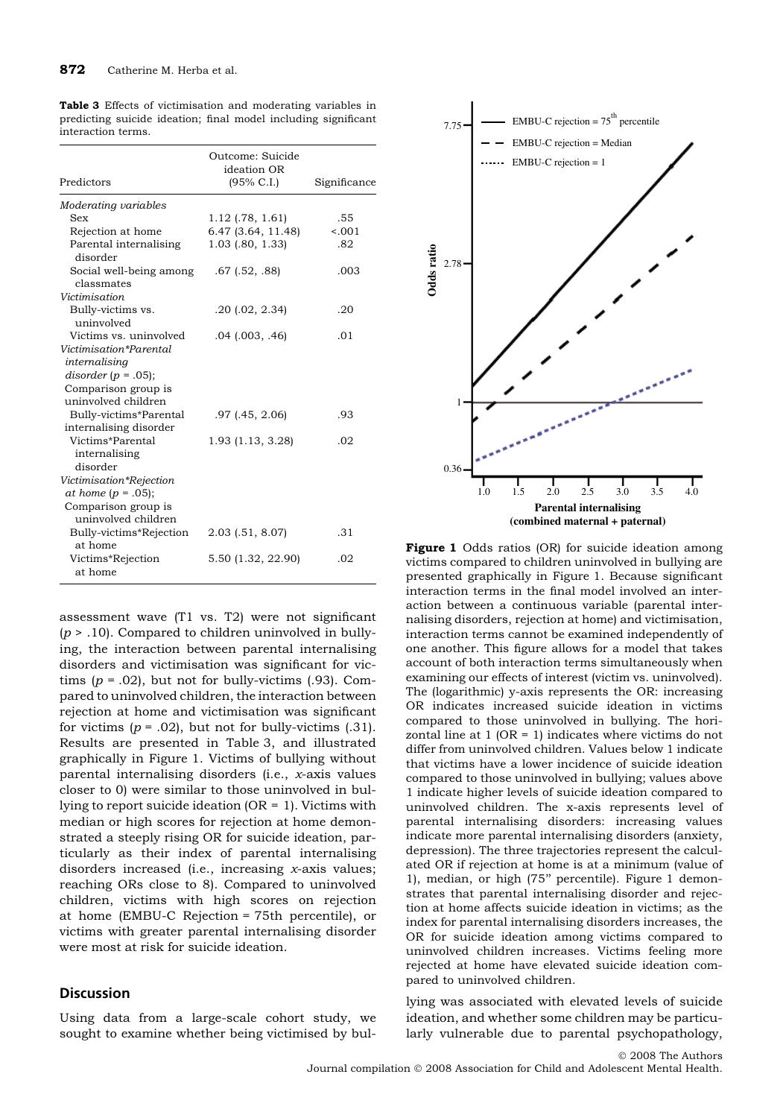| Predictors                            | Outcome: Suicide<br>ideation OR<br>$(95\% \text{ C.I.})$ | Significance |
|---------------------------------------|----------------------------------------------------------|--------------|
|                                       |                                                          |              |
| Moderating variables                  |                                                          |              |
| Sex                                   | $1.12$ (.78, 1.61)                                       | .55          |
| Rejection at home                     | 6.47(3.64, 11.48)                                        | < .001       |
| Parental internalising<br>disorder    | $1.03$ (.80, 1.33)                                       | .82          |
| Social well-being among<br>classmates | $.67$ $(.52, .88)$                                       | .003         |
| Victimisation.                        |                                                          |              |
| Bully-victims vs.<br>uninvolved       | $.20$ ( $.02, 2.34$ )                                    | .20          |
| Victims vs. uninvolved                | $.04$ $(.003, .46)$                                      | .01          |
| Victimisation *Parental               |                                                          |              |
| internalising                         |                                                          |              |
| disorder ( $p = .05$ );               |                                                          |              |
| Comparison group is                   |                                                          |              |
| uninvolved children                   |                                                          |              |
| Bully-victims*Parental                | $.97$ $(.45, 2.06)$                                      | .93          |
| internalising disorder                |                                                          |              |
| Victims*Parental                      | 1.93(1.13, 3.28)                                         | .02          |
| internalising                         |                                                          |              |
| disorder                              |                                                          |              |
| Victimisation*Rejection               |                                                          |              |
| at home $(p=.05)$ ;                   |                                                          |              |
| Comparison group is                   |                                                          |              |
| uninvolved children                   |                                                          |              |
| Bully-victims*Rejection               | 2.03 (.51, 8.07)                                         | .31          |
| at home                               |                                                          |              |
| Victims*Rejection<br>at home          | 5.50 (1.32, 22.90)                                       | .02          |

Table 3 Effects of victimisation and moderating variables in predicting suicide ideation; final model including significant interaction terms.

assessment wave (T1 vs. T2) were not significant  $(p > .10)$ . Compared to children uninvolved in bullying, the interaction between parental internalising disorders and victimisation was significant for victims ( $p = .02$ ), but not for bully-victims (.93). Compared to uninvolved children, the interaction between rejection at home and victimisation was significant for victims  $(p = .02)$ , but not for bully-victims  $(.31)$ . Results are presented in Table 3, and illustrated graphically in Figure 1. Victims of bullying without parental internalising disorders (i.e., x-axis values closer to 0) were similar to those uninvolved in bullying to report suicide ideation ( $OR = 1$ ). Victims with median or high scores for rejection at home demonstrated a steeply rising OR for suicide ideation, particularly as their index of parental internalising disorders increased (i.e., increasing  $x$ -axis values; reaching ORs close to 8). Compared to uninvolved children, victims with high scores on rejection at home (EMBU-C Rejection = 75th percentile), or victims with greater parental internalising disorder were most at risk for suicide ideation.

### **Discussion**

Using data from a large-scale cohort study, we sought to examine whether being victimised by bul-



Figure 1 Odds ratios (OR) for suicide ideation among victims compared to children uninvolved in bullying are presented graphically in Figure 1. Because significant interaction terms in the final model involved an interaction between a continuous variable (parental internalising disorders, rejection at home) and victimisation, interaction terms cannot be examined independently of one another. This figure allows for a model that takes account of both interaction terms simultaneously when examining our effects of interest (victim vs. uninvolved). The (logarithmic) y-axis represents the OR: increasing OR indicates increased suicide ideation in victims compared to those uninvolved in bullying. The horizontal line at  $1$  (OR = 1) indicates where victims do not differ from uninvolved children. Values below 1 indicate that victims have a lower incidence of suicide ideation compared to those uninvolved in bullying; values above 1 indicate higher levels of suicide ideation compared to uninvolved children. The x-axis represents level of parental internalising disorders: increasing values indicate more parental internalising disorders (anxiety, depression). The three trajectories represent the calculated OR if rejection at home is at a minimum (value of 1), median, or high (75'' percentile). Figure 1 demonstrates that parental internalising disorder and rejection at home affects suicide ideation in victims; as the index for parental internalising disorders increases, the OR for suicide ideation among victims compared to uninvolved children increases. Victims feeling more rejected at home have elevated suicide ideation compared to uninvolved children.

lying was associated with elevated levels of suicide ideation, and whether some children may be particularly vulnerable due to parental psychopathology,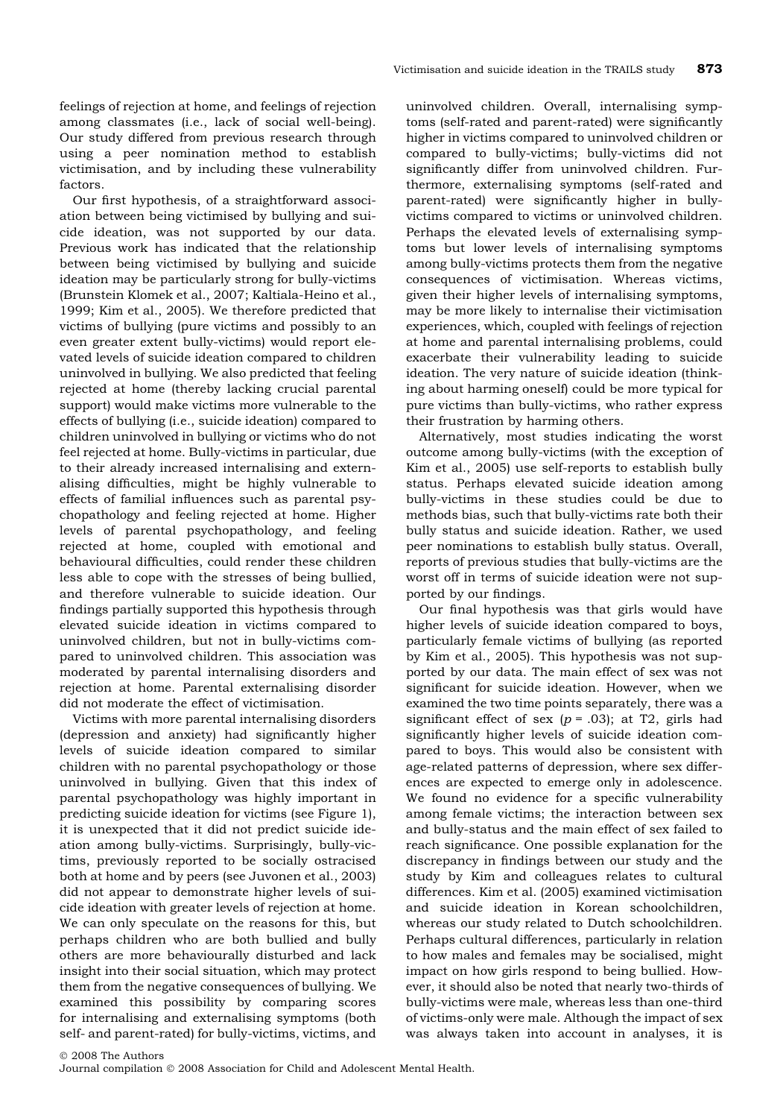feelings of rejection at home, and feelings of rejection among classmates (i.e., lack of social well-being). Our study differed from previous research through using a peer nomination method to establish victimisation, and by including these vulnerability factors.

Our first hypothesis, of a straightforward association between being victimised by bullying and suicide ideation, was not supported by our data. Previous work has indicated that the relationship between being victimised by bullying and suicide ideation may be particularly strong for bully-victims (Brunstein Klomek et al., 2007; Kaltiala-Heino et al., 1999; Kim et al., 2005). We therefore predicted that victims of bullying (pure victims and possibly to an even greater extent bully-victims) would report elevated levels of suicide ideation compared to children uninvolved in bullying. We also predicted that feeling rejected at home (thereby lacking crucial parental support) would make victims more vulnerable to the effects of bullying (i.e., suicide ideation) compared to children uninvolved in bullying or victims who do not feel rejected at home. Bully-victims in particular, due to their already increased internalising and externalising difficulties, might be highly vulnerable to effects of familial influences such as parental psychopathology and feeling rejected at home. Higher levels of parental psychopathology, and feeling rejected at home, coupled with emotional and behavioural difficulties, could render these children less able to cope with the stresses of being bullied, and therefore vulnerable to suicide ideation. Our findings partially supported this hypothesis through elevated suicide ideation in victims compared to uninvolved children, but not in bully-victims compared to uninvolved children. This association was moderated by parental internalising disorders and rejection at home. Parental externalising disorder did not moderate the effect of victimisation.

Victims with more parental internalising disorders (depression and anxiety) had significantly higher levels of suicide ideation compared to similar children with no parental psychopathology or those uninvolved in bullying. Given that this index of parental psychopathology was highly important in predicting suicide ideation for victims (see Figure 1), it is unexpected that it did not predict suicide ideation among bully-victims. Surprisingly, bully-victims, previously reported to be socially ostracised both at home and by peers (see Juvonen et al., 2003) did not appear to demonstrate higher levels of suicide ideation with greater levels of rejection at home. We can only speculate on the reasons for this, but perhaps children who are both bullied and bully others are more behaviourally disturbed and lack insight into their social situation, which may protect them from the negative consequences of bullying. We examined this possibility by comparing scores for internalising and externalising symptoms (both self- and parent-rated) for bully-victims, victims, and

uninvolved children. Overall, internalising symptoms (self-rated and parent-rated) were significantly higher in victims compared to uninvolved children or compared to bully-victims; bully-victims did not significantly differ from uninvolved children. Furthermore, externalising symptoms (self-rated and parent-rated) were significantly higher in bullyvictims compared to victims or uninvolved children. Perhaps the elevated levels of externalising symptoms but lower levels of internalising symptoms among bully-victims protects them from the negative consequences of victimisation. Whereas victims, given their higher levels of internalising symptoms, may be more likely to internalise their victimisation experiences, which, coupled with feelings of rejection at home and parental internalising problems, could exacerbate their vulnerability leading to suicide ideation. The very nature of suicide ideation (thinking about harming oneself) could be more typical for pure victims than bully-victims, who rather express their frustration by harming others.

Alternatively, most studies indicating the worst outcome among bully-victims (with the exception of Kim et al., 2005) use self-reports to establish bully status. Perhaps elevated suicide ideation among bully-victims in these studies could be due to methods bias, such that bully-victims rate both their bully status and suicide ideation. Rather, we used peer nominations to establish bully status. Overall, reports of previous studies that bully-victims are the worst off in terms of suicide ideation were not supported by our findings.

Our final hypothesis was that girls would have higher levels of suicide ideation compared to boys, particularly female victims of bullying (as reported by Kim et al., 2005). This hypothesis was not supported by our data. The main effect of sex was not significant for suicide ideation. However, when we examined the two time points separately, there was a significant effect of sex ( $p = .03$ ); at T2, girls had significantly higher levels of suicide ideation compared to boys. This would also be consistent with age-related patterns of depression, where sex differences are expected to emerge only in adolescence. We found no evidence for a specific vulnerability among female victims; the interaction between sex and bully-status and the main effect of sex failed to reach significance. One possible explanation for the discrepancy in findings between our study and the study by Kim and colleagues relates to cultural differences. Kim et al. (2005) examined victimisation and suicide ideation in Korean schoolchildren, whereas our study related to Dutch schoolchildren. Perhaps cultural differences, particularly in relation to how males and females may be socialised, might impact on how girls respond to being bullied. However, it should also be noted that nearly two-thirds of bully-victims were male, whereas less than one-third of victims-only were male. Although the impact of sex was always taken into account in analyses, it is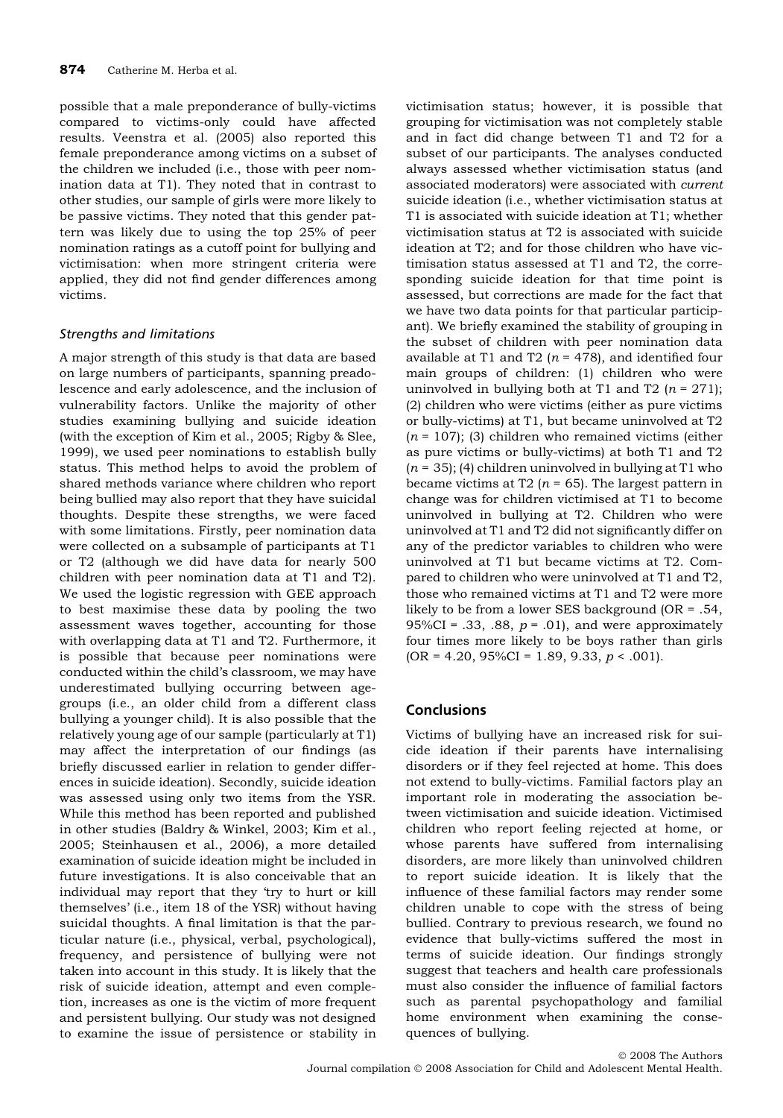possible that a male preponderance of bully-victims compared to victims-only could have affected results. Veenstra et al. (2005) also reported this female preponderance among victims on a subset of the children we included (i.e., those with peer nomination data at T1). They noted that in contrast to other studies, our sample of girls were more likely to be passive victims. They noted that this gender pattern was likely due to using the top 25% of peer nomination ratings as a cutoff point for bullying and victimisation: when more stringent criteria were applied, they did not find gender differences among victims.

#### Strengths and limitations

A major strength of this study is that data are based on large numbers of participants, spanning preadolescence and early adolescence, and the inclusion of vulnerability factors. Unlike the majority of other studies examining bullying and suicide ideation (with the exception of Kim et al., 2005; Rigby & Slee, 1999), we used peer nominations to establish bully status. This method helps to avoid the problem of shared methods variance where children who report being bullied may also report that they have suicidal thoughts. Despite these strengths, we were faced with some limitations. Firstly, peer nomination data were collected on a subsample of participants at T1 or T2 (although we did have data for nearly 500 children with peer nomination data at T1 and T2). We used the logistic regression with GEE approach to best maximise these data by pooling the two assessment waves together, accounting for those with overlapping data at T1 and T2. Furthermore, it is possible that because peer nominations were conducted within the child's classroom, we may have underestimated bullying occurring between agegroups (i.e., an older child from a different class bullying a younger child). It is also possible that the relatively young age of our sample (particularly at T1) may affect the interpretation of our findings (as briefly discussed earlier in relation to gender differences in suicide ideation). Secondly, suicide ideation was assessed using only two items from the YSR. While this method has been reported and published in other studies (Baldry & Winkel, 2003; Kim et al., 2005; Steinhausen et al., 2006), a more detailed examination of suicide ideation might be included in future investigations. It is also conceivable that an individual may report that they 'try to hurt or kill themselves' (i.e., item 18 of the YSR) without having suicidal thoughts. A final limitation is that the particular nature (i.e., physical, verbal, psychological), frequency, and persistence of bullying were not taken into account in this study. It is likely that the risk of suicide ideation, attempt and even completion, increases as one is the victim of more frequent and persistent bullying. Our study was not designed to examine the issue of persistence or stability in

victimisation status; however, it is possible that grouping for victimisation was not completely stable and in fact did change between T1 and T2 for a subset of our participants. The analyses conducted always assessed whether victimisation status (and associated moderators) were associated with current suicide ideation (i.e., whether victimisation status at T1 is associated with suicide ideation at T1; whether victimisation status at T2 is associated with suicide ideation at T2; and for those children who have victimisation status assessed at T1 and T2, the corresponding suicide ideation for that time point is assessed, but corrections are made for the fact that we have two data points for that particular participant). We briefly examined the stability of grouping in the subset of children with peer nomination data available at T1 and T2 ( $n = 478$ ), and identified four main groups of children: (1) children who were uninvolved in bullying both at T1 and T2 ( $n = 271$ ); (2) children who were victims (either as pure victims or bully-victims) at T1, but became uninvolved at T2  $(n = 107)$ ; (3) children who remained victims (either as pure victims or bully-victims) at both T1 and T2  $(n = 35)$ ; (4) children uninvolved in bullying at T1 who became victims at T2 ( $n = 65$ ). The largest pattern in change was for children victimised at T1 to become uninvolved in bullying at T2. Children who were uninvolved at T1 and T2 did not significantly differ on any of the predictor variables to children who were uninvolved at T1 but became victims at T2. Compared to children who were uninvolved at T1 and T2, those who remained victims at T1 and T2 were more likely to be from a lower SES background (OR = .54, 95%CI = .33, .88,  $p = .01$ , and were approximately four times more likely to be boys rather than girls  $(OR = 4.20, 95\%CI = 1.89, 9.33, p < .001).$ 

### Conclusions

Victims of bullying have an increased risk for suicide ideation if their parents have internalising disorders or if they feel rejected at home. This does not extend to bully-victims. Familial factors play an important role in moderating the association between victimisation and suicide ideation. Victimised children who report feeling rejected at home, or whose parents have suffered from internalising disorders, are more likely than uninvolved children to report suicide ideation. It is likely that the influence of these familial factors may render some children unable to cope with the stress of being bullied. Contrary to previous research, we found no evidence that bully-victims suffered the most in terms of suicide ideation. Our findings strongly suggest that teachers and health care professionals must also consider the influence of familial factors such as parental psychopathology and familial home environment when examining the consequences of bullying.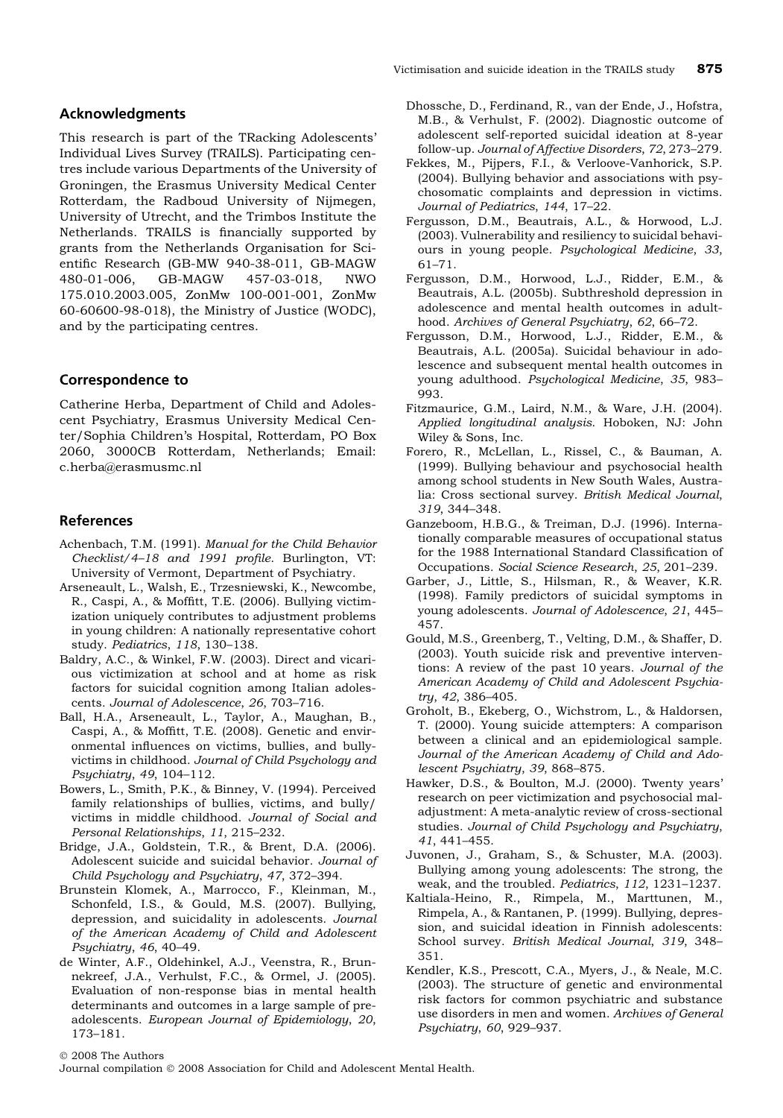#### Acknowledgments

This research is part of the TRacking Adolescents' Individual Lives Survey (TRAILS). Participating centres include various Departments of the University of Groningen, the Erasmus University Medical Center Rotterdam, the Radboud University of Nijmegen, University of Utrecht, and the Trimbos Institute the Netherlands. TRAILS is financially supported by grants from the Netherlands Organisation for Scientific Research (GB-MW 940-38-011, GB-MAGW 480-01-006, GB-MAGW 457-03-018, NWO 175.010.2003.005, ZonMw 100-001-001, ZonMw 60-60600-98-018), the Ministry of Justice (WODC), and by the participating centres.

#### Correspondence to

Catherine Herba, Department of Child and Adolescent Psychiatry, Erasmus University Medical Center/Sophia Children's Hospital, Rotterdam, PO Box 2060, 3000CB Rotterdam, Netherlands; Email: c.herba@erasmusmc.nl

#### References

- Achenbach, T.M. (1991). Manual for the Child Behavior Checklist/4–18 and 1991 profile. Burlington, VT: University of Vermont, Department of Psychiatry.
- Arseneault, L., Walsh, E., Trzesniewski, K., Newcombe, R., Caspi, A., & Moffitt, T.E. (2006). Bullying victimization uniquely contributes to adjustment problems in young children: A nationally representative cohort study. Pediatrics, 118, 130–138.
- Baldry, A.C., & Winkel, F.W. (2003). Direct and vicarious victimization at school and at home as risk factors for suicidal cognition among Italian adolescents. Journal of Adolescence, 26, 703–716.
- Ball, H.A., Arseneault, L., Taylor, A., Maughan, B., Caspi, A., & Moffitt, T.E. (2008). Genetic and environmental influences on victims, bullies, and bullyvictims in childhood. Journal of Child Psychology and Psychiatry, 49, 104–112.
- Bowers, L., Smith, P.K., & Binney, V. (1994). Perceived family relationships of bullies, victims, and bully/ victims in middle childhood. Journal of Social and Personal Relationships, 11, 215–232.
- Bridge, J.A., Goldstein, T.R., & Brent, D.A. (2006). Adolescent suicide and suicidal behavior. Journal of Child Psychology and Psychiatry, 47, 372–394.
- Brunstein Klomek, A., Marrocco, F., Kleinman, M., Schonfeld, I.S., & Gould, M.S. (2007). Bullying, depression, and suicidality in adolescents. Journal of the American Academy of Child and Adolescent Psychiatry, 46, 40–49.
- de Winter, A.F., Oldehinkel, A.J., Veenstra, R., Brunnekreef, J.A., Verhulst, F.C., & Ormel, J. (2005). Evaluation of non-response bias in mental health determinants and outcomes in a large sample of preadolescents. European Journal of Epidemiology, 20, 173–181.
- Dhossche, D., Ferdinand, R., van der Ende, J., Hofstra, M.B., & Verhulst, F. (2002). Diagnostic outcome of adolescent self-reported suicidal ideation at 8-year follow-up. Journal of Affective Disorders, 72, 273–279.
- Fekkes, M., Pijpers, F.I., & Verloove-Vanhorick, S.P. (2004). Bullying behavior and associations with psychosomatic complaints and depression in victims. Journal of Pediatrics, 144, 17–22.
- Fergusson, D.M., Beautrais, A.L., & Horwood, L.J. (2003). Vulnerability and resiliency to suicidal behaviours in young people. Psychological Medicine, 33, 61–71.
- Fergusson, D.M., Horwood, L.J., Ridder, E.M., & Beautrais, A.L. (2005b). Subthreshold depression in adolescence and mental health outcomes in adulthood. Archives of General Psychiatry, 62, 66–72.
- Fergusson, D.M., Horwood, L.J., Ridder, E.M., & Beautrais, A.L. (2005a). Suicidal behaviour in adolescence and subsequent mental health outcomes in young adulthood. Psychological Medicine, 35, 983– 993.
- Fitzmaurice, G.M., Laird, N.M., & Ware, J.H. (2004). Applied longitudinal analysis. Hoboken, NJ: John Wiley & Sons, Inc.
- Forero, R., McLellan, L., Rissel, C., & Bauman, A. (1999). Bullying behaviour and psychosocial health among school students in New South Wales, Australia: Cross sectional survey. British Medical Journal, 319, 344–348.
- Ganzeboom, H.B.G., & Treiman, D.J. (1996). Internationally comparable measures of occupational status for the 1988 International Standard Classification of Occupations. Social Science Research, 25, 201–239.
- Garber, J., Little, S., Hilsman, R., & Weaver, K.R. (1998). Family predictors of suicidal symptoms in young adolescents. Journal of Adolescence, 21, 445– 457.
- Gould, M.S., Greenberg, T., Velting, D.M., & Shaffer, D. (2003). Youth suicide risk and preventive interventions: A review of the past 10 years. Journal of the American Academy of Child and Adolescent Psychiatry, 42, 386–405.
- Groholt, B., Ekeberg, O., Wichstrom, L., & Haldorsen, T. (2000). Young suicide attempters: A comparison between a clinical and an epidemiological sample. Journal of the American Academy of Child and Adolescent Psychiatry, 39, 868–875.
- Hawker, D.S., & Boulton, M.J. (2000). Twenty years' research on peer victimization and psychosocial maladjustment: A meta-analytic review of cross-sectional studies. Journal of Child Psychology and Psychiatry, 41, 441–455.
- Juvonen, J., Graham, S., & Schuster, M.A. (2003). Bullying among young adolescents: The strong, the weak, and the troubled. Pediatrics, 112, 1231–1237.
- Kaltiala-Heino, R., Rimpela, M., Marttunen, M., Rimpela, A., & Rantanen, P. (1999). Bullying, depression, and suicidal ideation in Finnish adolescents: School survey. British Medical Journal, 319, 348– 351.
- Kendler, K.S., Prescott, C.A., Myers, J., & Neale, M.C. (2003). The structure of genetic and environmental risk factors for common psychiatric and substance use disorders in men and women. Archives of General Psychiatry, 60, 929–937.